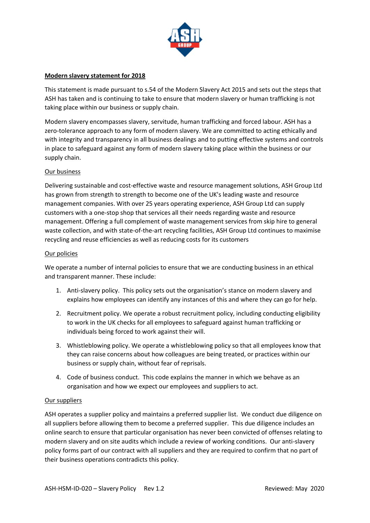

## **Modern slavery statement for 2018**

This statement is made pursuant to s.54 of the Modern Slavery Act 2015 and sets out the steps that ASH has taken and is continuing to take to ensure that modern slavery or human trafficking is not taking place within our business or supply chain.

Modern slavery encompasses slavery, servitude, human trafficking and forced labour. ASH has a zero-tolerance approach to any form of modern slavery. We are committed to acting ethically and with integrity and transparency in all business dealings and to putting effective systems and controls in place to safeguard against any form of modern slavery taking place within the business or our supply chain.

# Our business

Delivering sustainable and cost-effective waste and resource management solutions, ASH Group Ltd has grown from strength to strength to become one of the UK's leading waste and resource management companies. With over 25 years operating experience, ASH Group Ltd can supply customers with a one-stop shop that services all their needs regarding waste and resource management. Offering a full complement of waste management services from skip hire to general waste collection, and with state-of-the-art recycling facilities, ASH Group Ltd continues to maximise recycling and reuse efficiencies as well as reducing costs for its customers

### Our policies

We operate a number of internal policies to ensure that we are conducting business in an ethical and transparent manner. These include:

- 1. Anti-slavery policy. This policy sets out the organisation's stance on modern slavery and explains how employees can identify any instances of this and where they can go for help.
- 2. Recruitment policy. We operate a robust recruitment policy, including conducting eligibility to work in the UK checks for all employees to safeguard against human trafficking or individuals being forced to work against their will.
- 3. Whistleblowing policy. We operate a whistleblowing policy so that all employees know that they can raise concerns about how colleagues are being treated, or practices within our business or supply chain, without fear of reprisals.
- 4. Code of business conduct. This code explains the manner in which we behave as an organisation and how we expect our employees and suppliers to act.

### Our suppliers

ASH operates a supplier policy and maintains a preferred supplier list. We conduct due diligence on all suppliers before allowing them to become a preferred supplier. This due diligence includes an online search to ensure that particular organisation has never been convicted of offenses relating to modern slavery and on site audits which include a review of working conditions. Our anti-slavery policy forms part of our contract with all suppliers and they are required to confirm that no part of their business operations contradicts this policy.